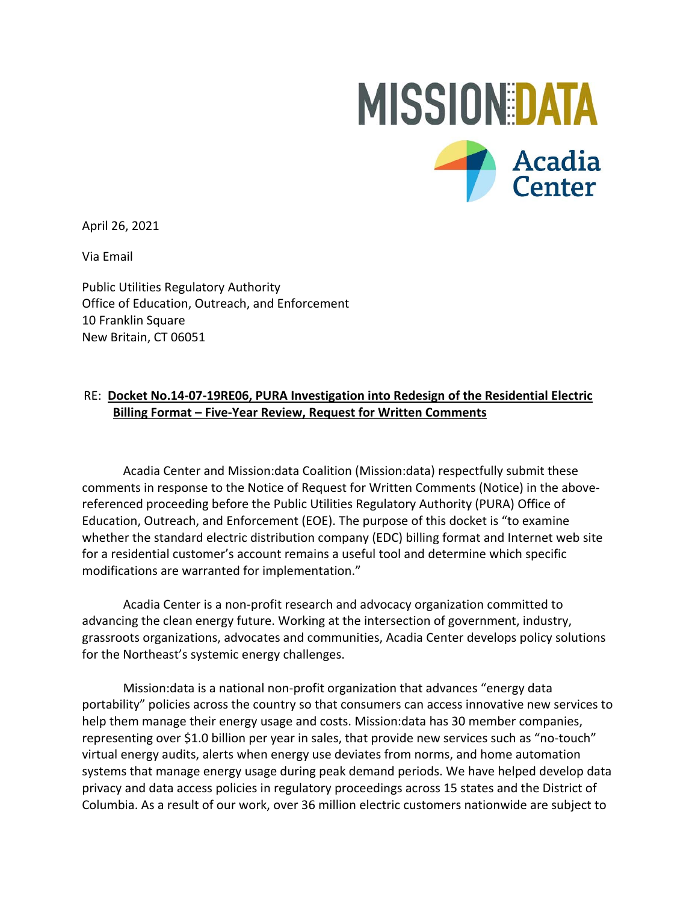

Via Email

Public Utilities Regulatory Authority Office of Education, Outreach, and Enforcement 10 Franklin Square New Britain, CT 06051

## RE: **Docket No.14‐07‐19RE06, PURA Investigation into Redesign of the Residential Electric Billing Format – Five‐Year Review, Request for Written Comments**

Acadia Center and Mission:data Coalition (Mission:data) respectfully submit these comments in response to the Notice of Request for Written Comments (Notice) in the above‐ referenced proceeding before the Public Utilities Regulatory Authority (PURA) Office of Education, Outreach, and Enforcement (EOE). The purpose of this docket is "to examine whether the standard electric distribution company (EDC) billing format and Internet web site for a residential customer's account remains a useful tool and determine which specific modifications are warranted for implementation."

Acadia Center is a non‐profit research and advocacy organization committed to advancing the clean energy future. Working at the intersection of government, industry, grassroots organizations, advocates and communities, Acadia Center develops policy solutions for the Northeast's systemic energy challenges.

Mission:data is a national non‐profit organization that advances "energy data portability" policies across the country so that consumers can access innovative new services to help them manage their energy usage and costs. Mission:data has 30 member companies, representing over \$1.0 billion per year in sales, that provide new services such as "no‐touch" virtual energy audits, alerts when energy use deviates from norms, and home automation systems that manage energy usage during peak demand periods. We have helped develop data privacy and data access policies in regulatory proceedings across 15 states and the District of Columbia. As a result of our work, over 36 million electric customers nationwide are subject to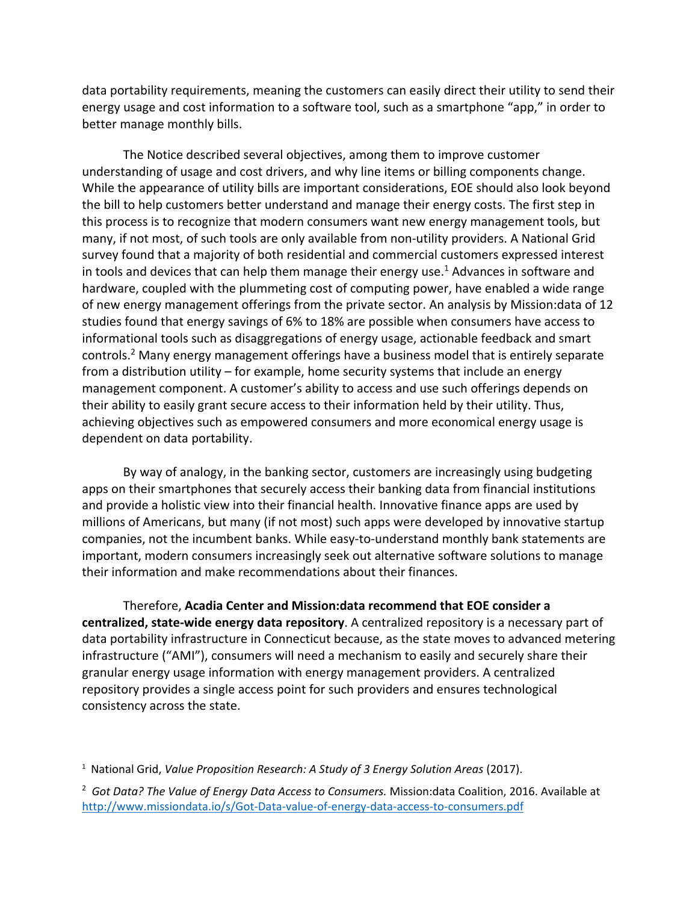data portability requirements, meaning the customers can easily direct their utility to send their energy usage and cost information to a software tool, such as a smartphone "app," in order to better manage monthly bills.

The Notice described several objectives, among them to improve customer understanding of usage and cost drivers, and why line items or billing components change. While the appearance of utility bills are important considerations, EOE should also look beyond the bill to help customers better understand and manage their energy costs. The first step in this process is to recognize that modern consumers want new energy management tools, but many, if not most, of such tools are only available from non-utility providers. A National Grid survey found that a majority of both residential and commercial customers expressed interest in tools and devices that can help them manage their energy use. 1 Advances in software and hardware, coupled with the plummeting cost of computing power, have enabled a wide range of new energy management offerings from the private sector. An analysis by Mission:data of 12 studies found that energy savings of 6% to 18% are possible when consumers have access to informational tools such as disaggregations of energy usage, actionable feedback and smart controls.<sup>2</sup> Many energy management offerings have a business model that is entirely separate from a distribution utility – for example, home security systems that include an energy management component. A customer's ability to access and use such offerings depends on their ability to easily grant secure access to their information held by their utility. Thus, achieving objectives such as empowered consumers and more economical energy usage is dependent on data portability.

By way of analogy, in the banking sector, customers are increasingly using budgeting apps on their smartphones that securely access their banking data from financial institutions and provide a holistic view into their financial health. Innovative finance apps are used by millions of Americans, but many (if not most) such apps were developed by innovative startup companies, not the incumbent banks. While easy-to-understand monthly bank statements are important, modern consumers increasingly seek out alternative software solutions to manage their information and make recommendations about their finances.

Therefore, **Acadia Center and Mission:data recommend that EOE consider a centralized, state‐wide energy data repository**. A centralized repository is a necessary part of data portability infrastructure in Connecticut because, as the state moves to advanced metering infrastructure ("AMI"), consumers will need a mechanism to easily and securely share their granular energy usage information with energy management providers. A centralized repository provides a single access point for such providers and ensures technological consistency across the state.

<sup>&</sup>lt;sup>1</sup> National Grid, *Value Proposition Research: A Study of 3 Energy Solution Areas (2017).* 

<sup>2</sup> *Got Data? The Value of Energy Data Access to Consumers.* Mission:data Coalition, 2016. Available at [http://www.missiondata.io/s/Got‐Data‐value‐of‐energy‐data‐access‐to‐consumers.pdf](http://www.missiondata.io/s/Got%E2%80%90Data%E2%80%90value%E2%80%90of%E2%80%90energy%E2%80%90data%E2%80%90access%E2%80%90to%E2%80%90consumers.pdf)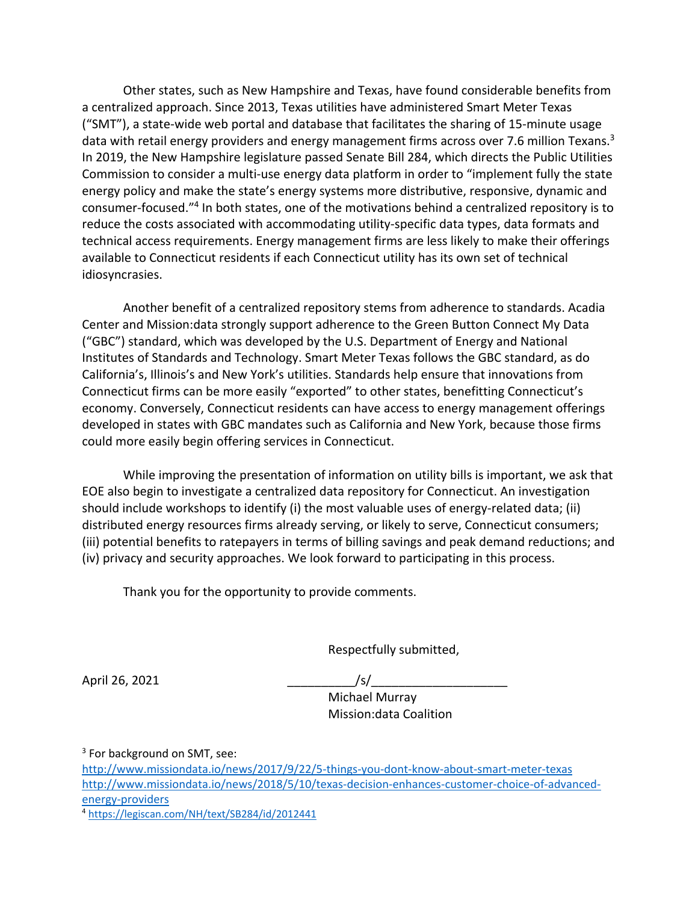Other states, such as New Hampshire and Texas, have found considerable benefits from a centralized approach. Since 2013, Texas utilities have administered Smart Meter Texas ("SMT"), a state‐wide web portal and database that facilitates the sharing of 15‐minute usage data with retail energy providers and energy management firms across over 7.6 million Texans.<sup>3</sup> In 2019, the New Hampshire legislature passed Senate Bill 284, which directs the Public Utilities Commission to consider a multi‐use energy data platform in order to "implement fully the state energy policy and make the state's energy systems more distributive, responsive, dynamic and consumer‐focused."4 In both states, one of the motivations behind a centralized repository is to reduce the costs associated with accommodating utility‐specific data types, data formats and technical access requirements. Energy management firms are less likely to make their offerings available to Connecticut residents if each Connecticut utility has its own set of technical idiosyncrasies.

Another benefit of a centralized repository stems from adherence to standards. Acadia Center and Mission:data strongly support adherence to the Green Button Connect My Data ("GBC") standard, which was developed by the U.S. Department of Energy and National Institutes of Standards and Technology. Smart Meter Texas follows the GBC standard, as do California's, Illinois's and New York's utilities. Standards help ensure that innovations from Connecticut firms can be more easily "exported" to other states, benefitting Connecticut's economy. Conversely, Connecticut residents can have access to energy management offerings developed in states with GBC mandates such as California and New York, because those firms could more easily begin offering services in Connecticut.

While improving the presentation of information on utility bills is important, we ask that EOE also begin to investigate a centralized data repository for Connecticut. An investigation should include workshops to identify (i) the most valuable uses of energy-related data; (ii) distributed energy resources firms already serving, or likely to serve, Connecticut consumers; (iii) potential benefits to ratepayers in terms of billing savings and peak demand reductions; and (iv) privacy and security approaches. We look forward to participating in this process.

Thank you for the opportunity to provide comments.

Respectfully submitted,

April 26, 2021 \_\_\_\_\_\_\_\_\_\_/s/\_\_\_\_\_\_\_\_\_\_\_\_\_\_\_\_\_\_\_\_

 Michael Murray Mission:data Coalition

<sup>3</sup> For background on SMT, see: http://www.missiondata.io/news/2017/9/22/5-things-you-dont-know-about-smart-meter-texas http://www.missiondata.io/news/2018/5/10/texas-decision-enhances-customer-choice-of-advancedenergy‐providers

<sup>4</sup> <https://legiscan.com/NH/text/SB284/id/2012441>